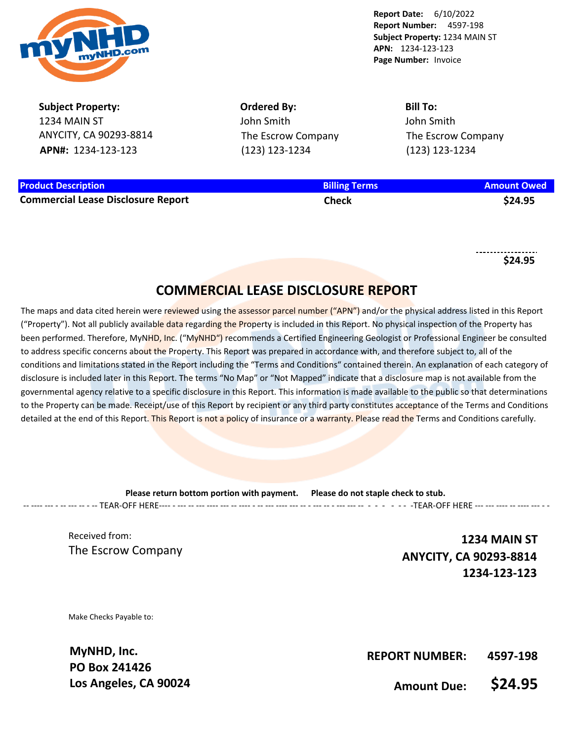

**Subject Property:** 1234 MAIN ST ANYCITY, CA 90293-8814 **APN#:** 1234-123-123

**Ordered By:** John Smith The Escrow Company (123) 123-1234

**Bill To:** John Smith The Escrow Company (123) 123-1234

| <b>Product Description</b>                | <b>Billing Terms</b> | <b>Amount Owed</b> |
|-------------------------------------------|----------------------|--------------------|
| <b>Commercial Lease Disclosure Report</b> | Check                | \$24.95            |

**\$24.95**

# **COMMERCIAL LEASE DISCLOSURE REPORT**

The maps and data cited herein were reviewed using the assessor parcel number ("APN") and/or the physical address listed in this Report ("Property"). Not all publicly available data regarding the Property is included in this Report. No physical inspection of the Property has been performed. Therefore, MyNHD, Inc. ("MyNHD") recommends a Certified Engineering Geologist or Professional Engineer be consulted to address specific concerns about the Property. This Report was prepared in accordance with, and therefore subject to, all of the conditions and limitations stated in the Report including the "Terms and Conditions" contained therein. An explanation of each category of disclosure is included later in this Report. The terms "No Map" or "Not Mapped" indicate that a disclosure map is not available from the governmental agency relative to a specific disclosure in this Report. This information is made available to the public so that determinations to the Property can be made. Receipt/use of this Report by recipient or any third party constitutes acceptance of the Terms and Conditions detailed at the end of this Report. This Report is not a policy of insurance or a warranty. Please read the Terms and Conditions carefully.

**Please return bottom portion with payment. Please do not staple check to stub.**  -- ---- --- - -- --- -- - -- TEAR-OFF HERE---- - --- -- --- ---- --- -- ---- - -- --- ---- --- -- - --- -- - --- --- -- - - - - - - -TEAR-OFF HERE --- --- ---- -- ---- --- - -

Received from: The Escrow Company

**1234 MAIN ST ANYCITY, CA 90293-8814 1234-123-123**

Make Checks Payable to:

**MyNHD, Inc. PO Box 241426 Los Angeles, CA 90024**

**REPORT NUMBER: 4597-198**

**Amount Due: \$24.95**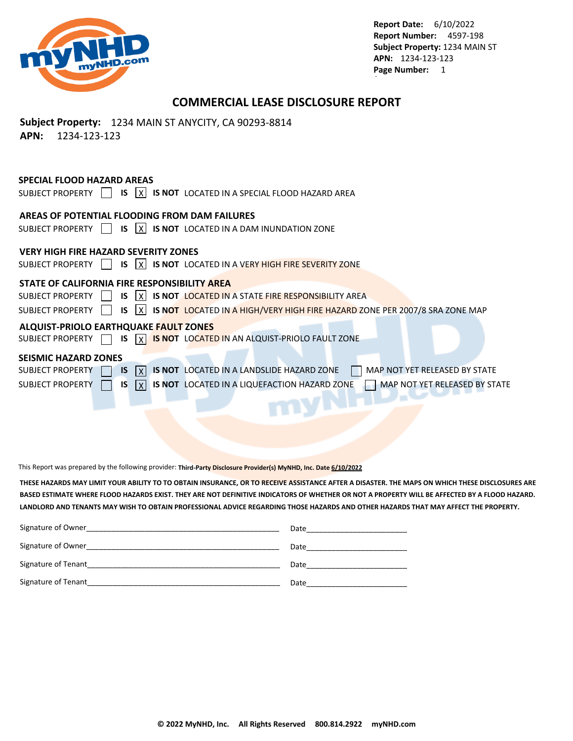

# **COMMERCIAL LEASE DISCLOSURE REPORT**

# **Subject Property:** 1234 MAIN ST ANYCITY, CA 90293-8814 **APN:** 1234-123-123

## **SPECIAL FLOOD HAZARD AREAS**

SUBJECT PROPERTY  $\Box$  **IS**  $\overline{X}$  **IS NOT** LOCATED IN A SPECIAL FLOOD HAZARD AREA

# **AREAS OF POTENTIAL FLOODING FROM DAM FAILURES**

SUBJECT PROPERTY  $\Box$  **IS**  $\boxed{X}$  **IS NOT** LOCATED IN A DAM INUNDATION ZONE

## **VERY HIGH FIRE HAZARD SEVERITY ZONES**

SUBJECT PROPERTY **15 X IS NOT** LOCATED IN A VERY HIGH FIRE SEVERITY ZONE

## **STATE OF CALIFORNIA FIRE RESPONSIBILITY AREA**

SUBJECT PROPERTY **15 X IS NOT LOCATED IN A STATE FIRE RESPONSIBILITY AREA** 

| SUBJECT PROPERTY $   \cdot    s    \times    s \cdot \text{NOT}$ LOCATED IN A HIGH/VERY HIGH FIRE HAZARD ZONE PER 2007/8 SRA ZONE MAP |  |  |  |  |  |  |  |  |  |  |
|---------------------------------------------------------------------------------------------------------------------------------------|--|--|--|--|--|--|--|--|--|--|
|---------------------------------------------------------------------------------------------------------------------------------------|--|--|--|--|--|--|--|--|--|--|

### **ALQUIST-PRIOLO EARTHQUAKE FAULT ZONES**

SUBJECT PROPERTY **15** IS **X IS NOT** LOCATED IN AN ALQUIST-PRIOLO FAULT ZONE

### **SEISMIC HAZARD ZONES**

| <b>SUBJECT PROPERTY</b> |  |  |  |  |  | $\mid$ IS $\mid$ $\mid$ IS NOT LOCATED IN A LANDSLIDE HAZARD ZONE                |  | MAP NOT YET RELEASED BY STATE        |
|-------------------------|--|--|--|--|--|----------------------------------------------------------------------------------|--|--------------------------------------|
| SUBJECT PROPERTY        |  |  |  |  |  | $\vert x \vert$ is $\vert x \vert$ is not located in a lique faction hazard zone |  | <b>NAP NOT YET RELEASED BY STATE</b> |

This Report was prepared by the following provider: **Third-Party Disclosure Provider(s) MyNHD, Inc. Date 6/10/2022**

**THESE HAZARDS MAY LIMIT YOUR ABILITY TO TO OBTAIN INSURANCE, OR TO RECEIVE ASSISTANCE AFTER A DISASTER. THE MAPS ON WHICH THESE DISCLOSURES ARE BASED ESTIMATE WHERE FLOOD HAZARDS EXIST. THEY ARE NOT DEFINITIVE INDICATORS OF WHETHER OR NOT A PROPERTY WILL BE AFFECTED BY A FLOOD HAZARD. LANDLORD AND TENANTS MAY WISH TO OBTAIN PROFESSIONAL ADVICE REGARDING THOSE HAZARDS AND OTHER HAZARDS THAT MAY AFFECT THE PROPERTY.** 

| Signature of Owner  | Date |
|---------------------|------|
| Signature of Owner  | Date |
| Signature of Tenant | Date |
| Signature of Tenant | Date |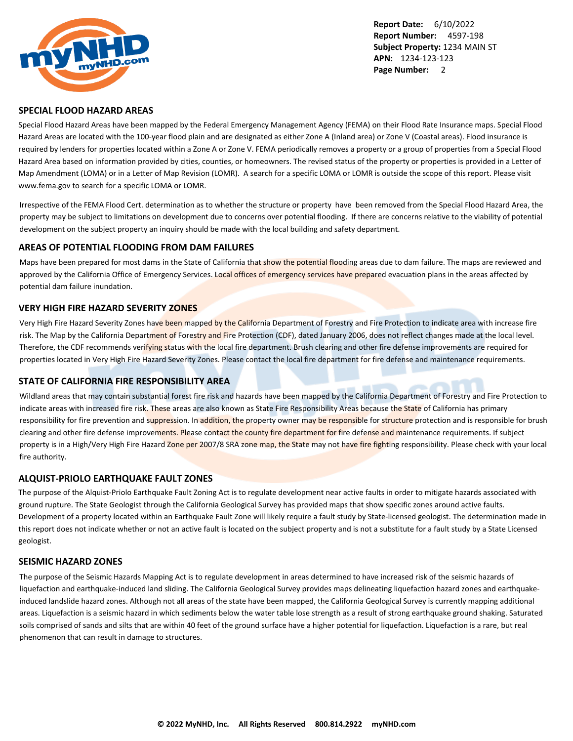

#### **SPECIAL FLOOD HAZARD AREAS**

Special Flood Hazard Areas have been mapped by the Federal Emergency Management Agency (FEMA) on their Flood Rate Insurance maps. Special Flood Hazard Areas are located with the 100-year flood plain and are designated as either Zone A (Inland area) or Zone V (Coastal areas). Flood insurance is required by lenders for properties located within a Zone A or Zone V. FEMA periodically removes a property or a group of properties from a Special Flood Hazard Area based on information provided by cities, counties, or homeowners. The revised status of the property or properties is provided in a Letter of Map Amendment (LOMA) or in a Letter of Map Revision (LOMR). A search for a specific LOMA or LOMR is outside the scope of this report. Please visit www.fema.gov to search for a specific LOMA or LOMR.

Irrespective of the FEMA Flood Cert. determination as to whether the structure or property have been removed from the Special Flood Hazard Area, the property may be subject to limitations on development due to concerns over potential flooding. If there are concerns relative to the viability of potential development on the subject property an inquiry should be made with the local building and safety department.

### **AREAS OF POTENTIAL FLOODING FROM DAM FAILURES**

Maps have been prepared for most dams in the State of California that show the potential flooding areas due to dam failure. The maps are reviewed and approved by the California Office of Emergency Services. Local offices of emergency services have prepared evacuation plans in the areas affected by potential dam failure inundation.

### **VERY HIGH FIRE HAZARD SEVERITY ZONES**

Very High Fire Hazard Severity Zones have been mapped by the California Department of Forestry and Fire Protection to indicate area with increase fire risk. The Map by the California Department of Forestry and Fire Protection (CDF), dated January 2006, does not reflect changes made at the local level. Therefore, the CDF recommends verifying status with the local fire department. Brush clearing and other fire defense improvements are required for properties located in Very High Fire Hazard Severity Zones. Please contact the local fire department for fire defense and maintenance requirements.

#### **STATE OF CALIFORNIA FIRE RESPONSIBILITY AREA**

Wildland areas that may contain substantial forest fire risk and hazards have been mapped by the California Department of Forestry and Fire Protection to indicate areas with increased fire risk. These areas are also known as State Fire Responsibility Areas because the State of California has primary responsibility for fire prevention and suppression. In addition, the property owner may be responsible for structure protection and is responsible for brush clearing and other fire defense improvements. Please contact the county fire department for fire defense and maintenance requirements. If subject property is in a High/Very High Fire Hazard Zone per 2007/8 SRA zone map, the State may not have fire fighting responsibility. Please check with your local fire authority.

#### **ALQUIST-PRIOLO EARTHQUAKE FAULT ZONES**

The purpose of the Alquist-Priolo Earthquake Fault Zoning Act is to regulate development near active faults in order to mitigate hazards associated with ground rupture. The State Geologist through the California Geological Survey has provided maps that show specific zones around active faults. Development of a property located within an Earthquake Fault Zone will likely require a fault study by State-licensed geologist. The determination made in this report does not indicate whether or not an active fault is located on the subject property and is not a substitute for a fault study by a State Licensed geologist.

### **SEISMIC HAZARD ZONES**

The purpose of the Seismic Hazards Mapping Act is to regulate development in areas determined to have increased risk of the seismic hazards of liquefaction and earthquake-induced land sliding. The California Geological Survey provides maps delineating liquefaction hazard zones and earthquakeinduced landslide hazard zones. Although not all areas of the state have been mapped, the California Geological Survey is currently mapping additional areas. Liquefaction is a seismic hazard in which sediments below the water table lose strength as a result of strong earthquake ground shaking. Saturated soils comprised of sands and silts that are within 40 feet of the ground surface have a higher potential for liquefaction. Liquefaction is a rare, but real phenomenon that can result in damage to structures.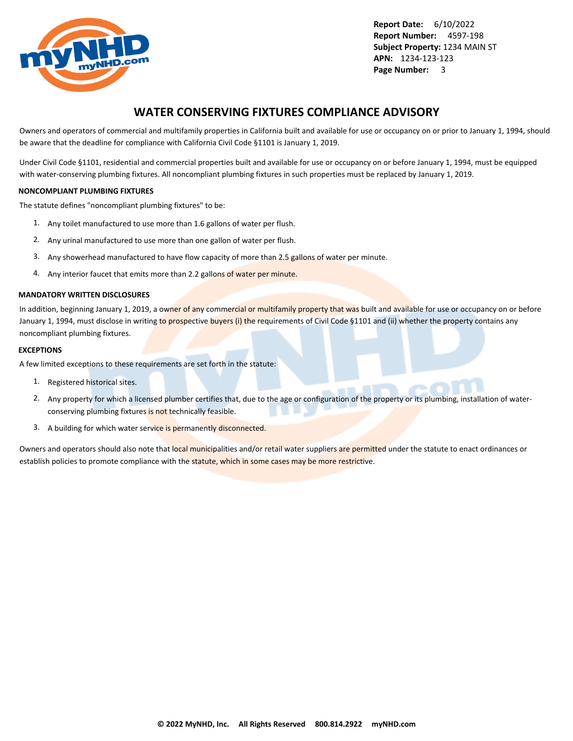

# **WATER CONSERVING FIXTURES COMPLIANCE ADVISORY**

Owners and operators of commercial and multifamily properties in California built and available for use or occupancy on or prior to January 1, 1994, should be aware that the deadline for compliance with California Civil Code §1101 is January 1, 2019.

Under Civil Code §1101, residential and commercial properties built and available for use or occupancy on or before January 1, 1994, must be equipped with water-conserving plumbing fixtures. All noncompliant plumbing fixtures in such properties must be replaced by January 1, 2019.

#### **NONCOMPLIANT PLUMBING FIXTURES**

The statute defines "noncompliant plumbing fixtures" to be:

- 1. Any toilet manufactured to use more than 1.6 gallons of water per flush.
- 2. Any urinal manufactured to use more than one gallon of water per flush.
- 3. Any showerhead manufactured to have flow capacity of more than 2.5 gallons of water per minute.
- 4. Any interior faucet that emits more than 2.2 gallons of water per minute.

#### **MANDATORY WRITTEN DISCLOSURES**

In addition, beginning January 1, 2019, a owner of any commercial or multifamily property that was built and available for use or occupancy on or before January 1, 1994, must disclose in writing to prospective buyers (i) the requirements of Civil Code §1101 and (ii) whether the property contains any noncompliant plumbing fixtures.

#### **EXCEPTIONS**

A few limited exceptions to these requirements are set forth in the statute:

- 1. Registered historical sites.
- 2. Any property for which a licensed plumber certifies that, due to the age or configuration of the property or its plumbing, installation of waterconserving plumbing fixtures is not technically feasible.
- 3. A building for which water service is permanently disconnected.

Owners and operators should also note that local municipalities and/or retail water suppliers are permitted under the statute to enact ordinances or establish policies to promote compliance with the statute, which in some cases may be more restrictive.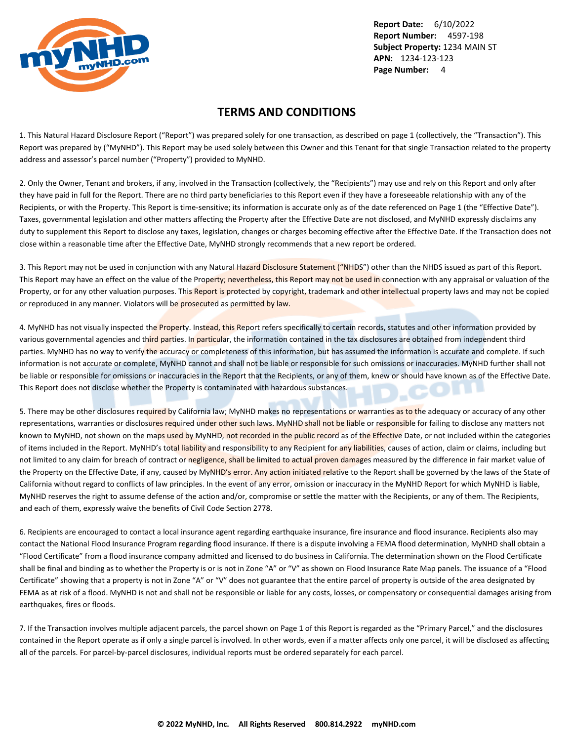

# **TERMS AND CONDITIONS**

1. This Natural Hazard Disclosure Report ("Report") was prepared solely for one transaction, as described on page 1 (collectively, the "Transaction"). This Report was prepared by ("MyNHD"). This Report may be used solely between this Owner and this Tenant for that single Transaction related to the property address and assessor's parcel number ("Property") provided to MyNHD.

2. Only the Owner, Tenant and brokers, if any, involved in the Transaction (collectively, the "Recipients") may use and rely on this Report and only after they have paid in full for the Report. There are no third party beneficiaries to this Report even if they have a foreseeable relationship with any of the Recipients, or with the Property. This Report is time-sensitive; its information is accurate only as of the date referenced on Page 1 (the "Effective Date"). Taxes, governmental legislation and other matters affecting the Property after the Effective Date are not disclosed, and MyNHD expressly disclaims any duty to supplement this Report to disclose any taxes, legislation, changes or charges becoming effective after the Effective Date. If the Transaction does not close within a reasonable time after the Effective Date, MyNHD strongly recommends that a new report be ordered.

3. This Report may not be used in conjunction with any Natural Hazard Disclosure Statement ("NHDS") other than the NHDS issued as part of this Report. This Report may have an effect on the value of the Property; nevertheless, this Report may not be used in connection with any appraisal or valuation of the Property, or for any other valuation purposes. This Report is protected by copyright, trademark and other intellectual property laws and may not be copied or reproduced in any manner. Violators will be prosecuted as permitted by law.

4. MyNHD has not visually inspected the Property. Instead, this Report refers specifically to certain records, statutes and other information provided by various governmental agencies and third parties. In particular, the information contained in the tax disclosures are obtained from independent third parties. MyNHD has no way to verify the accuracy or completeness of this information, but has assumed the information is accurate and complete. If such information is not accurate or complete, MyNHD cannot and shall not be liable or responsible for such omissions or inaccuracies. MyNHD further shall not be liable or responsible for omissions or inaccuracies in the Report that the Recipients, or any of them, knew or should have known as of the Effective Date. This Report does not disclose whether the Property is contaminated with hazardous substances.

5. There may be other disclosures required by California law; MyNHD makes no representations or warranties as to the adequacy or accuracy of any other representations, warranties or disclosures required under other such laws. MyNHD shall not be liable or responsible for failing to disclose any matters not known to MyNHD, not shown on the maps used by MyNHD, not recorded in the public record as of the Effective Date, or not included within the categories of items included in the Report. MyNHD's total liability and responsibility to any Recipient for any liabilities, causes of action, claim or claims, including but not limited to any claim for breach of contract or negligence, shall be limited to actual proven damages measured by the difference in fair market value of the Property on the Effective Date, if any, caused by MyNHD's error. Any action initiated relative to the Report shall be governed by the laws of the State of California without regard to conflicts of law principles. In the event of any error, omission or inaccuracy in the MyNHD Report for which MyNHD is liable, MyNHD reserves the right to assume defense of the action and/or, compromise or settle the matter with the Recipients, or any of them. The Recipients, and each of them, expressly waive the benefits of Civil Code Section 2778.

6. Recipients are encouraged to contact a local insurance agent regarding earthquake insurance, fire insurance and flood insurance. Recipients also may contact the National Flood Insurance Program regarding flood insurance. If there is a dispute involving a FEMA flood determination, MyNHD shall obtain a "Flood Certificate" from a flood insurance company admitted and licensed to do business in California. The determination shown on the Flood Certificate shall be final and binding as to whether the Property is or is not in Zone "A" or "V" as shown on Flood Insurance Rate Map panels. The issuance of a "Flood Certificate" showing that a property is not in Zone "A" or "V" does not guarantee that the entire parcel of property is outside of the area designated by FEMA as at risk of a flood. MyNHD is not and shall not be responsible or liable for any costs, losses, or compensatory or consequential damages arising from earthquakes, fires or floods.

7. If the Transaction involves multiple adjacent parcels, the parcel shown on Page 1 of this Report is regarded as the "Primary Parcel," and the disclosures contained in the Report operate as if only a single parcel is involved. In other words, even if a matter affects only one parcel, it will be disclosed as affecting all of the parcels. For parcel-by-parcel disclosures, individual reports must be ordered separately for each parcel.